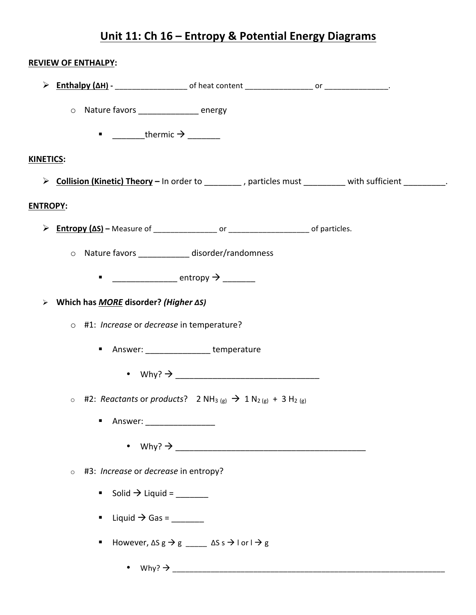## <u> Unit 11: Ch 16 - Entropy & Potential Energy Diagrams</u>

|                                                                                                  | <b>REVIEW OF ENTHALPY:</b>                                                                            |                                                                                           |  |  |  |  |  |  |
|--------------------------------------------------------------------------------------------------|-------------------------------------------------------------------------------------------------------|-------------------------------------------------------------------------------------------|--|--|--|--|--|--|
|                                                                                                  |                                                                                                       |                                                                                           |  |  |  |  |  |  |
|                                                                                                  | O Nature favors energy                                                                                |                                                                                           |  |  |  |  |  |  |
|                                                                                                  | $\blacksquare$ __________thermic $\rightarrow$ _________                                              |                                                                                           |  |  |  |  |  |  |
| <b>KINETICS:</b>                                                                                 |                                                                                                       |                                                                                           |  |  |  |  |  |  |
|                                                                                                  | > Collision (Kinetic) Theory - In order to ________, particles must ________ with sufficient _______. |                                                                                           |  |  |  |  |  |  |
| <b>ENTROPY:</b>                                                                                  |                                                                                                       |                                                                                           |  |  |  |  |  |  |
|                                                                                                  |                                                                                                       |                                                                                           |  |  |  |  |  |  |
| O Nature favors ____________ disorder/randomness                                                 |                                                                                                       |                                                                                           |  |  |  |  |  |  |
|                                                                                                  |                                                                                                       |                                                                                           |  |  |  |  |  |  |
| > Which has MORE disorder? (Higher $\Delta S$ )                                                  |                                                                                                       |                                                                                           |  |  |  |  |  |  |
| o #1: Increase or decrease in temperature?                                                       |                                                                                                       |                                                                                           |  |  |  |  |  |  |
| Answer: ________________ temperature                                                             |                                                                                                       |                                                                                           |  |  |  |  |  |  |
| • Why? $\rightarrow$                                                                             |                                                                                                       |                                                                                           |  |  |  |  |  |  |
| ○ #2: Reactants or products? 2 NH <sub>3 (g)</sub> → 1 N <sub>2 (g)</sub> + 3 H <sub>2 (g)</sub> |                                                                                                       |                                                                                           |  |  |  |  |  |  |
|                                                                                                  | Answer: ____________________                                                                          |                                                                                           |  |  |  |  |  |  |
|                                                                                                  |                                                                                                       |                                                                                           |  |  |  |  |  |  |
| #3: <i>Increase</i> or <i>decrease</i> in entropy?<br>$\circ$                                    |                                                                                                       |                                                                                           |  |  |  |  |  |  |
|                                                                                                  | Solid $\rightarrow$ Liquid = ________                                                                 |                                                                                           |  |  |  |  |  |  |
|                                                                                                  | ■ Liquid $\rightarrow$ Gas = _______                                                                  |                                                                                           |  |  |  |  |  |  |
|                                                                                                  | ٠                                                                                                     | However, $\Delta S g \rightarrow g$ _____ $\Delta S s \rightarrow I$ or $I \rightarrow g$ |  |  |  |  |  |  |
|                                                                                                  |                                                                                                       |                                                                                           |  |  |  |  |  |  |